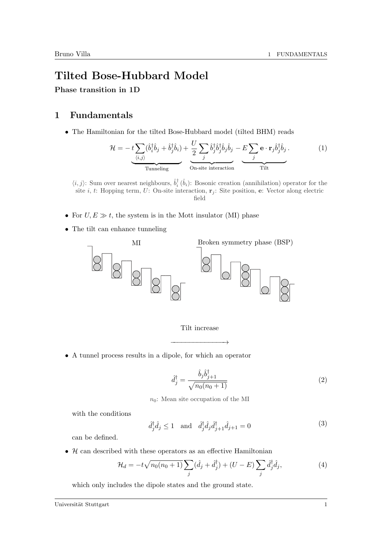## Tilted Bose-Hubbard Model

Phase transition in 1D

## 1 Fundamentals

• The Hamiltonian for the tilted Bose-Hubbard model (tilted BHM) reads

$$
\mathcal{H} = -t \underbrace{\sum_{\langle i,j \rangle} (\hat{b}_i^\dagger \hat{b}_j + \hat{b}_j^\dagger \hat{b}_i)}_{\text{Tunneling}} + \underbrace{\frac{U}{2} \sum_j \hat{b}_j^\dagger \hat{b}_j^\dagger \hat{b}_j \hat{b}_j}_{\text{On-site interaction}} - \underbrace{E \sum_j \mathbf{e} \cdot \mathbf{r}_j \hat{b}_j^\dagger \hat{b}_j}_{\text{Tilt}}.
$$
\n(1)

 $\langle i, j \rangle$ : Sum over nearest neighbours,  $\hat{b}_i^{\dagger}(\hat{b}_i)$ : Bosonic creation (annihilation) operator for the site *i*, *t*: Hopping term, *U*: On-site interaction,  $\mathbf{r}_i$ : Site position, **e**: Vector along electric field

- For  $U, E \gg t$ , the system is in the Mott insulator (MI) phase
- The tilt can enhance tunneling



## Tilt increase

−−−−−−−−−−−−−−→

• A tunnel process results in a dipole, for which an operator

$$
\hat{d}_j^\dagger = \frac{\hat{b}_j \hat{b}_{j+1}^\dagger}{\sqrt{n_0(n_0+1)}}\tag{2}
$$

 $n_0$ : Mean site occupation of the MI

with the conditions

$$
\hat{d}_j^{\dagger} \hat{d}_j \le 1 \quad \text{and} \quad \hat{d}_j^{\dagger} \hat{d}_j \hat{d}_{j+1}^{\dagger} \hat{d}_{j+1} = 0 \tag{3}
$$

can be defined.

•  $\mathcal H$  can described with these operators as an effective Hamiltonian

$$
\mathcal{H}_d = -t\sqrt{n_0(n_0+1)}\sum_j(\hat{d}_j + \hat{d}_j^{\dagger}) + (U - E)\sum_j\hat{d}_j^{\dagger}\hat{d}_j,\tag{4}
$$

which only includes the dipole states and the ground state.